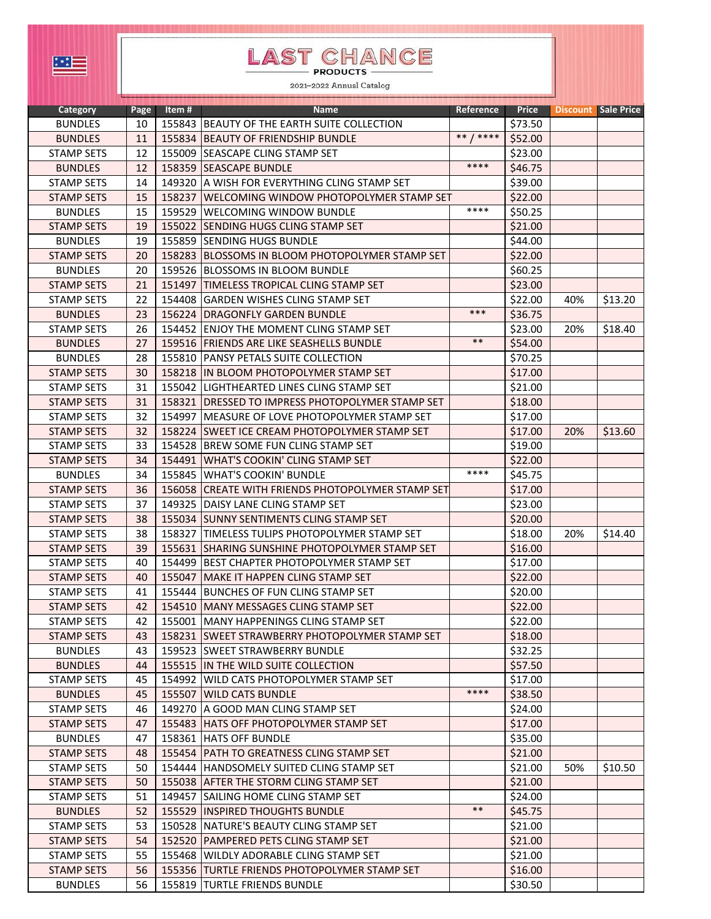## LAST CHANCE

2021-2022 Annual Catalog

| <b>Category</b>   | Page | ltem # | <b>Name</b>                                        | Reference    | Price   |     | Discount Sale Price |
|-------------------|------|--------|----------------------------------------------------|--------------|---------|-----|---------------------|
| <b>BUNDLES</b>    | 10   |        | 155843 BEAUTY OF THE EARTH SUITE COLLECTION        |              | \$73.50 |     |                     |
| <b>BUNDLES</b>    | 11   |        | 155834 BEAUTY OF FRIENDSHIP BUNDLE                 | $***$ / **** | \$52.00 |     |                     |
| <b>STAMP SETS</b> | 12   |        | 155009 SEASCAPE CLING STAMP SET                    |              | \$23.00 |     |                     |
| <b>BUNDLES</b>    | 12   |        | 158359 SEASCAPE BUNDLE                             | ****         | \$46.75 |     |                     |
| <b>STAMP SETS</b> | 14   | 149320 | IA WISH FOR EVERYTHING CLING STAMP SET             |              | \$39.00 |     |                     |
| <b>STAMP SETS</b> | 15   | 158237 | WELCOMING WINDOW PHOTOPOLYMER STAMP SET            |              | \$22.00 |     |                     |
| <b>BUNDLES</b>    | 15   |        | 159529 WELCOMING WINDOW BUNDLE                     | ****         | \$50.25 |     |                     |
| <b>STAMP SETS</b> | 19   |        | 155022 SENDING HUGS CLING STAMP SET                |              | \$21.00 |     |                     |
| <b>BUNDLES</b>    | 19   |        | 155859 SENDING HUGS BUNDLE                         |              | \$44.00 |     |                     |
| <b>STAMP SETS</b> | 20   |        | 158283 BLOSSOMS IN BLOOM PHOTOPOLYMER STAMP SET    |              | \$22.00 |     |                     |
| <b>BUNDLES</b>    | 20   |        | 159526 BLOSSOMS IN BLOOM BUNDLE                    |              | \$60.25 |     |                     |
| <b>STAMP SETS</b> | 21   |        | 151497 TIMELESS TROPICAL CLING STAMP SET           |              | \$23.00 |     |                     |
| <b>STAMP SETS</b> | 22   |        | 154408 GARDEN WISHES CLING STAMP SET               |              | \$22.00 | 40% | \$13.20             |
| <b>BUNDLES</b>    | 23   |        | 156224 DRAGONFLY GARDEN BUNDLE                     | $***$        | \$36.75 |     |                     |
| <b>STAMP SETS</b> | 26   | 154452 | <b>LENJOY THE MOMENT CLING STAMP SET</b>           |              | \$23.00 | 20% | \$18.40             |
| <b>BUNDLES</b>    | 27   |        | 159516 FRIENDS ARE LIKE SEASHELLS BUNDLE           | $***$        | \$54.00 |     |                     |
| <b>BUNDLES</b>    | 28   | 155810 | <b>PANSY PETALS SUITE COLLECTION</b>               |              | \$70.25 |     |                     |
| <b>STAMP SETS</b> | 30   |        | 158218 IN BLOOM PHOTOPOLYMER STAMP SET             |              | \$17.00 |     |                     |
| <b>STAMP SETS</b> | 31   |        | 155042 LIGHTHEARTED LINES CLING STAMP SET          |              | \$21.00 |     |                     |
| <b>STAMP SETS</b> | 31   |        | 158321   DRESSED TO IMPRESS PHOTOPOLYMER STAMP SET |              | \$18.00 |     |                     |
| <b>STAMP SETS</b> | 32   |        | 154997   MEASURE OF LOVE PHOTOPOLYMER STAMP SET    |              | \$17.00 |     |                     |
| <b>STAMP SETS</b> | 32   |        | 158224 SWEET ICE CREAM PHOTOPOLYMER STAMP SET      |              | \$17.00 | 20% | \$13.60             |
| <b>STAMP SETS</b> | 33   |        | 154528 BREW SOME FUN CLING STAMP SET               |              | \$19.00 |     |                     |
| <b>STAMP SETS</b> | 34   | 154491 | <b>WHAT'S COOKIN' CLING STAMP SET</b>              |              | \$22.00 |     |                     |
| <b>BUNDLES</b>    | 34   | 155845 | <b>WHAT'S COOKIN' BUNDLE</b>                       | ****         | \$45.75 |     |                     |
| <b>STAMP SETS</b> | 36   | 156058 | CREATE WITH FRIENDS PHOTOPOLYMER STAMP SET         |              | \$17.00 |     |                     |
| <b>STAMP SETS</b> | 37   | 149325 | DAISY LANE CLING STAMP SET                         |              | \$23.00 |     |                     |
| <b>STAMP SETS</b> | 38   |        | 155034 SUNNY SENTIMENTS CLING STAMP SET            |              | \$20.00 |     |                     |
| <b>STAMP SETS</b> | 38   | 158327 | TIMELESS TULIPS PHOTOPOLYMER STAMP SET             |              | \$18.00 | 20% | \$14.40             |
| <b>STAMP SETS</b> | 39   |        | 155631 SHARING SUNSHINE PHOTOPOLYMER STAMP SET     |              | \$16.00 |     |                     |
| <b>STAMP SETS</b> | 40   | 154499 | BEST CHAPTER PHOTOPOLYMER STAMP SET                |              | \$17.00 |     |                     |
| <b>STAMP SETS</b> | 40   |        | 155047 MAKE IT HAPPEN CLING STAMP SET              |              | \$22.00 |     |                     |
| <b>STAMP SETS</b> | 41   |        | 155444 BUNCHES OF FUN CLING STAMP SET              |              | \$20.00 |     |                     |
| <b>STAMP SETS</b> | 42   |        | 154510 MANY MESSAGES CLING STAMP SET               |              | \$22.00 |     |                     |
| STAMP SETS        | 42   |        | 155001   MANY HAPPENINGS CLING STAMP SET           |              | \$22.00 |     |                     |
| STAMP SETS        | 43   |        | 158231 ISWEET STRAWBERRY PHOTOPOLYMER STAMP SET    |              | \$18.00 |     |                     |
| <b>BUNDLES</b>    | 43   |        | 159523 SWEET STRAWBERRY BUNDLE                     |              | \$32.25 |     |                     |
| <b>BUNDLES</b>    | 44   |        | 155515 IN THE WILD SUITE COLLECTION                |              | \$57.50 |     |                     |
| <b>STAMP SETS</b> | 45   |        | 154992 WILD CATS PHOTOPOLYMER STAMP SET            |              | \$17.00 |     |                     |
| <b>BUNDLES</b>    | 45   |        | 155507 WILD CATS BUNDLE                            | ****         | \$38.50 |     |                     |
| <b>STAMP SETS</b> | 46   |        | 149270 A GOOD MAN CLING STAMP SET                  |              | \$24.00 |     |                     |
| STAMP SETS        | 47   |        | 155483 HATS OFF PHOTOPOLYMER STAMP SET             |              | \$17.00 |     |                     |
| <b>BUNDLES</b>    | 47   |        | 158361 HATS OFF BUNDLE                             |              | \$35.00 |     |                     |
| <b>STAMP SETS</b> | 48   |        | 155454 PATH TO GREATNESS CLING STAMP SET           |              | \$21.00 |     |                     |
| STAMP SETS        | 50   |        | 154444 HANDSOMELY SUITED CLING STAMP SET           |              | \$21.00 | 50% | \$10.50             |
| <b>STAMP SETS</b> | 50   |        | 155038 AFTER THE STORM CLING STAMP SET             |              | \$21.00 |     |                     |
| <b>STAMP SETS</b> | 51   |        | 149457 SAILING HOME CLING STAMP SET                |              | \$24.00 |     |                     |
| <b>BUNDLES</b>    | 52   |        | 155529 INSPIRED THOUGHTS BUNDLE                    | $***$        | \$45.75 |     |                     |
| <b>STAMP SETS</b> | 53   |        | 150528 NATURE'S BEAUTY CLING STAMP SET             |              | \$21.00 |     |                     |
| STAMP SETS        | 54   |        | 152520 PAMPERED PETS CLING STAMP SET               |              | \$21.00 |     |                     |
| <b>STAMP SETS</b> | 55   |        | 155468 WILDLY ADORABLE CLING STAMP SET             |              | \$21.00 |     |                     |
| STAMP SETS        | 56   |        | 155356 TURTLE FRIENDS PHOTOPOLYMER STAMP SET       |              | \$16.00 |     |                     |
| <b>BUNDLES</b>    | 56   |        | 155819 TURTLE FRIENDS BUNDLE                       |              | \$30.50 |     |                     |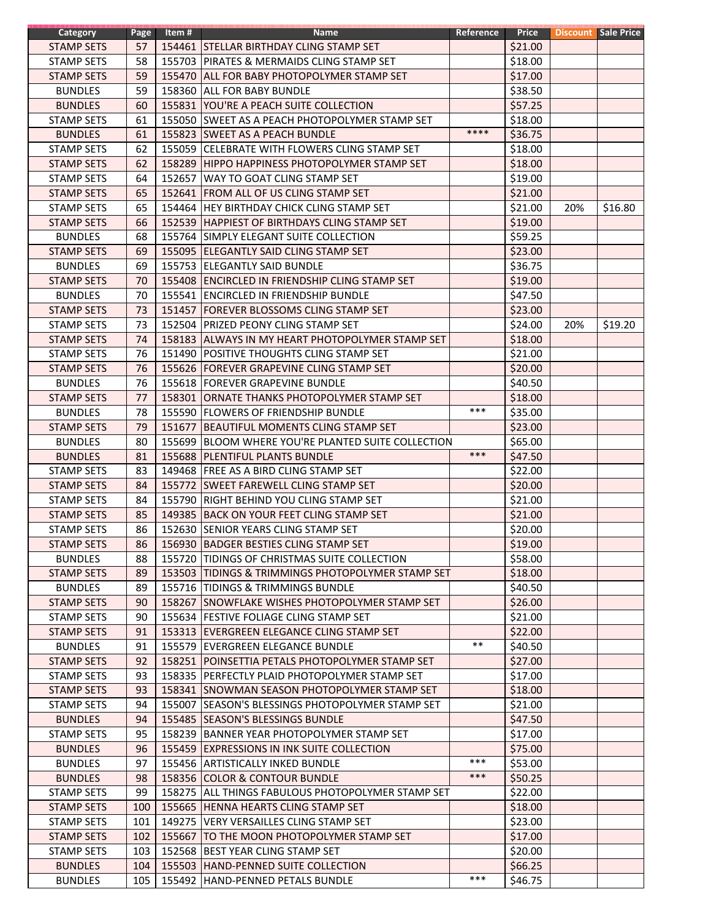| Category          | Page | Item # | <b>Name</b>                                        | Reference | Price   |     | <b>Discount Sale Price</b> |
|-------------------|------|--------|----------------------------------------------------|-----------|---------|-----|----------------------------|
| <b>STAMP SETS</b> | 57   |        | 154461 STELLAR BIRTHDAY CLING STAMP SET            |           | \$21.00 |     |                            |
| <b>STAMP SETS</b> | 58   |        | 155703 PIRATES & MERMAIDS CLING STAMP SET          |           | \$18.00 |     |                            |
| <b>STAMP SETS</b> | 59   |        | 155470 ALL FOR BABY PHOTOPOLYMER STAMP SET         |           | \$17.00 |     |                            |
| <b>BUNDLES</b>    | 59   |        | 158360 ALL FOR BABY BUNDLE                         |           | \$38.50 |     |                            |
| <b>BUNDLES</b>    | 60   |        | 155831  YOU'RE A PEACH SUITE COLLECTION            |           | \$57.25 |     |                            |
| <b>STAMP SETS</b> | 61   |        | 155050 SWEET AS A PEACH PHOTOPOLYMER STAMP SET     |           | \$18.00 |     |                            |
| <b>BUNDLES</b>    | 61   |        | 155823 SWEET AS A PEACH BUNDLE                     | ****      | \$36.75 |     |                            |
| <b>STAMP SETS</b> | 62   |        | 155059 CELEBRATE WITH FLOWERS CLING STAMP SET      |           | \$18.00 |     |                            |
| <b>STAMP SETS</b> | 62   |        | 158289 HIPPO HAPPINESS PHOTOPOLYMER STAMP SET      |           | \$18.00 |     |                            |
| <b>STAMP SETS</b> | 64   |        | 152657 WAY TO GOAT CLING STAMP SET                 |           | \$19.00 |     |                            |
|                   |      |        |                                                    |           | \$21.00 |     |                            |
| <b>STAMP SETS</b> | 65   |        | 152641 FROM ALL OF US CLING STAMP SET              |           |         |     |                            |
| <b>STAMP SETS</b> | 65   |        | 154464 HEY BIRTHDAY CHICK CLING STAMP SET          |           | \$21.00 | 20% | \$16.80                    |
| <b>STAMP SETS</b> | 66   |        | 152539 HAPPIEST OF BIRTHDAYS CLING STAMP SET       |           | \$19.00 |     |                            |
| <b>BUNDLES</b>    | 68   |        | 155764 SIMPLY ELEGANT SUITE COLLECTION             |           | \$59.25 |     |                            |
| <b>STAMP SETS</b> | 69   |        | 155095 ELEGANTLY SAID CLING STAMP SET              |           | \$23.00 |     |                            |
| <b>BUNDLES</b>    | 69   |        | 155753 ELEGANTLY SAID BUNDLE                       |           | \$36.75 |     |                            |
| <b>STAMP SETS</b> | 70   |        | 155408 ENCIRCLED IN FRIENDSHIP CLING STAMP SET     |           | \$19.00 |     |                            |
| <b>BUNDLES</b>    | 70   |        | 155541 ENCIRCLED IN FRIENDSHIP BUNDLE              |           | \$47.50 |     |                            |
| <b>STAMP SETS</b> | 73   |        | 151457 FOREVER BLOSSOMS CLING STAMP SET            |           | \$23.00 |     |                            |
| <b>STAMP SETS</b> | 73   |        | 152504 PRIZED PEONY CLING STAMP SET                |           | \$24.00 | 20% | \$19.20                    |
| <b>STAMP SETS</b> | 74   |        | 158183 ALWAYS IN MY HEART PHOTOPOLYMER STAMP SET   |           | \$18.00 |     |                            |
| <b>STAMP SETS</b> | 76   |        | 151490 POSITIVE THOUGHTS CLING STAMP SET           |           | \$21.00 |     |                            |
| <b>STAMP SETS</b> | 76   |        | 155626 FOREVER GRAPEVINE CLING STAMP SET           |           | \$20.00 |     |                            |
| <b>BUNDLES</b>    | 76   |        | 155618 FOREVER GRAPEVINE BUNDLE                    |           | \$40.50 |     |                            |
| <b>STAMP SETS</b> | 77   |        | 158301 ORNATE THANKS PHOTOPOLYMER STAMP SET        |           | \$18.00 |     |                            |
| <b>BUNDLES</b>    | 78   |        | 155590 FLOWERS OF FRIENDSHIP BUNDLE                | $***$     | \$35.00 |     |                            |
| <b>STAMP SETS</b> | 79   |        | 151677 BEAUTIFUL MOMENTS CLING STAMP SET           |           | \$23.00 |     |                            |
| <b>BUNDLES</b>    | 80   |        | 155699 BLOOM WHERE YOU'RE PLANTED SUITE COLLECTION |           | \$65.00 |     |                            |
|                   |      |        |                                                    | ***       |         |     |                            |
| <b>BUNDLES</b>    | 81   |        | 155688 PLENTIFUL PLANTS BUNDLE                     |           | \$47.50 |     |                            |
| <b>STAMP SETS</b> | 83   |        | 149468 FREE AS A BIRD CLING STAMP SET              |           | \$22.00 |     |                            |
| <b>STAMP SETS</b> | 84   |        | 155772 SWEET FAREWELL CLING STAMP SET              |           | \$20.00 |     |                            |
| <b>STAMP SETS</b> | 84   |        | 155790 RIGHT BEHIND YOU CLING STAMP SET            |           | \$21.00 |     |                            |
| <b>STAMP SETS</b> | 85   |        | 149385 BACK ON YOUR FEET CLING STAMP SET           |           | \$21.00 |     |                            |
| <b>STAMP SETS</b> | 86   |        | 152630 SENIOR YEARS CLING STAMP SET                |           | \$20.00 |     |                            |
| <b>STAMP SETS</b> | 86   |        | 156930 BADGER BESTIES CLING STAMP SET              |           | \$19.00 |     |                            |
| <b>BUNDLES</b>    | 88   |        | 155720 TIDINGS OF CHRISTMAS SUITE COLLECTION       |           | \$58.00 |     |                            |
| <b>STAMP SETS</b> | 89   |        | 153503 TIDINGS & TRIMMINGS PHOTOPOLYMER STAMP SET  |           | \$18.00 |     |                            |
| <b>BUNDLES</b>    | 89   |        | 155716 TIDINGS & TRIMMINGS BUNDLE                  |           | \$40.50 |     |                            |
| <b>STAMP SETS</b> | 90   |        | 158267 ISNOWFLAKE WISHES PHOTOPOLYMER STAMP SET    |           | \$26.00 |     |                            |
| <b>STAMP SETS</b> | 90   |        | 155634 FESTIVE FOLIAGE CLING STAMP SET             |           | \$21.00 |     |                            |
| <b>STAMP SETS</b> | 91   |        | 153313 EVERGREEN ELEGANCE CLING STAMP SET          |           | \$22.00 |     |                            |
| <b>BUNDLES</b>    | 91   |        | 155579 EVERGREEN ELEGANCE BUNDLE                   | $***$     | \$40.50 |     |                            |
| <b>STAMP SETS</b> | 92   |        | 158251 POINSETTIA PETALS PHOTOPOLYMER STAMP SET    |           | \$27.00 |     |                            |
| STAMP SETS        | 93   |        | 158335 PERFECTLY PLAID PHOTOPOLYMER STAMP SET      |           | \$17.00 |     |                            |
| <b>STAMP SETS</b> | 93   |        | 158341 ISNOWMAN SEASON PHOTOPOLYMER STAMP SET      |           | \$18.00 |     |                            |
| <b>STAMP SETS</b> | 94   |        | 155007   SEASON'S BLESSINGS PHOTOPOLYMER STAMP SET |           | \$21.00 |     |                            |
| <b>BUNDLES</b>    | 94   |        | 155485 SEASON'S BLESSINGS BUNDLE                   |           | \$47.50 |     |                            |
| <b>STAMP SETS</b> | 95   |        | 158239 BANNER YEAR PHOTOPOLYMER STAMP SET          |           | \$17.00 |     |                            |
|                   |      |        |                                                    |           |         |     |                            |
| <b>BUNDLES</b>    | 96   |        | 155459 EXPRESSIONS IN INK SUITE COLLECTION         | ***       | \$75.00 |     |                            |
| <b>BUNDLES</b>    | 97   |        | 155456 ARTISTICALLY INKED BUNDLE                   | ***       | \$53.00 |     |                            |
| <b>BUNDLES</b>    | 98   |        | 158356 COLOR & CONTOUR BUNDLE                      |           | \$50.25 |     |                            |
| <b>STAMP SETS</b> | 99   |        | 158275 ALL THINGS FABULOUS PHOTOPOLYMER STAMP SET  |           | \$22.00 |     |                            |
| <b>STAMP SETS</b> | 100  |        | 155665 HENNA HEARTS CLING STAMP SET                |           | \$18.00 |     |                            |
| <b>STAMP SETS</b> | 101  |        | 149275   VERY VERSAILLES CLING STAMP SET           |           | \$23.00 |     |                            |
| <b>STAMP SETS</b> | 102  |        | 155667 TO THE MOON PHOTOPOLYMER STAMP SET          |           | \$17.00 |     |                            |
| <b>STAMP SETS</b> | 103  |        | 152568 BEST YEAR CLING STAMP SET                   |           | \$20.00 |     |                            |
| <b>BUNDLES</b>    | 104  |        | 155503 HAND-PENNED SUITE COLLECTION                |           | \$66.25 |     |                            |
| <b>BUNDLES</b>    | 105  |        | 155492 HAND-PENNED PETALS BUNDLE                   | ***       | \$46.75 |     |                            |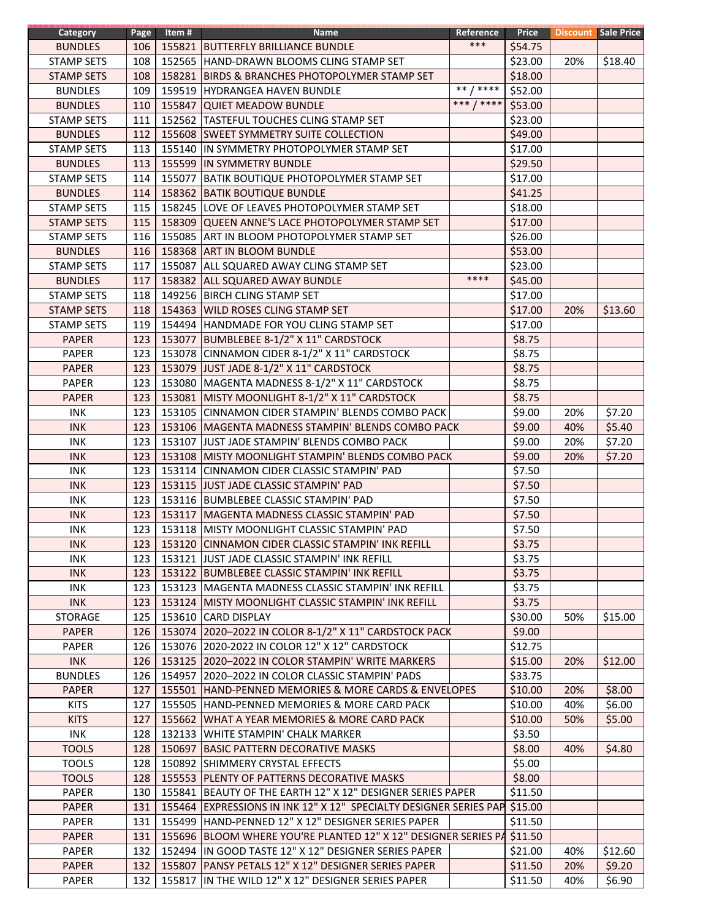| Category          | Page | Item # | <b>Name</b>                                                               | Reference     | Price   |     | <b>Discount Sale Price</b> |
|-------------------|------|--------|---------------------------------------------------------------------------|---------------|---------|-----|----------------------------|
| <b>BUNDLES</b>    | 106  |        | 155821 BUTTERFLY BRILLIANCE BUNDLE                                        | $***$         | \$54.75 |     |                            |
| <b>STAMP SETS</b> | 108  |        | 152565 HAND-DRAWN BLOOMS CLING STAMP SET                                  |               | \$23.00 | 20% | \$18.40                    |
| <b>STAMP SETS</b> | 108  |        | 158281 BIRDS & BRANCHES PHOTOPOLYMER STAMP SET                            |               | \$18.00 |     |                            |
| <b>BUNDLES</b>    | 109  |        | 159519 HYDRANGEA HAVEN BUNDLE                                             | ****<br>$***$ | \$52.00 |     |                            |
| <b>BUNDLES</b>    | 110  |        | 155847 QUIET MEADOW BUNDLE                                                | ***<br>$7***$ | \$53.00 |     |                            |
| <b>STAMP SETS</b> | 111  |        | 152562 TASTEFUL TOUCHES CLING STAMP SET                                   |               | \$23.00 |     |                            |
| <b>BUNDLES</b>    | 112  |        | 155608 SWEET SYMMETRY SUITE COLLECTION                                    |               | \$49.00 |     |                            |
| <b>STAMP SETS</b> | 113  |        | 155140 IN SYMMETRY PHOTOPOLYMER STAMP SET                                 |               | \$17.00 |     |                            |
| <b>BUNDLES</b>    | 113  |        | 155599 IN SYMMETRY BUNDLE                                                 |               | \$29.50 |     |                            |
| <b>STAMP SETS</b> | 114  |        | 155077 BATIK BOUTIQUE PHOTOPOLYMER STAMP SET                              |               | \$17.00 |     |                            |
|                   |      |        |                                                                           |               | \$41.25 |     |                            |
| <b>BUNDLES</b>    | 114  |        | 158362 BATIK BOUTIQUE BUNDLE                                              |               |         |     |                            |
| <b>STAMP SETS</b> | 115  |        | 158245 LOVE OF LEAVES PHOTOPOLYMER STAMP SET                              |               | \$18.00 |     |                            |
| <b>STAMP SETS</b> | 115  |        | 158309 QUEEN ANNE'S LACE PHOTOPOLYMER STAMP SET                           |               | \$17.00 |     |                            |
| <b>STAMP SETS</b> | 116  |        | 155085 ART IN BLOOM PHOTOPOLYMER STAMP SET                                |               | \$26.00 |     |                            |
| <b>BUNDLES</b>    | 116  | 158368 | <b>ART IN BLOOM BUNDLE</b>                                                |               | \$53.00 |     |                            |
| <b>STAMP SETS</b> | 117  |        | 155087 ALL SQUARED AWAY CLING STAMP SET                                   |               | \$23.00 |     |                            |
| <b>BUNDLES</b>    | 117  |        | 158382 ALL SQUARED AWAY BUNDLE                                            | ****          | \$45.00 |     |                            |
| <b>STAMP SETS</b> | 118  |        | 149256 BIRCH CLING STAMP SET                                              |               | \$17.00 |     |                            |
| <b>STAMP SETS</b> | 118  |        | 154363 WILD ROSES CLING STAMP SET                                         |               | \$17.00 | 20% | \$13.60                    |
| <b>STAMP SETS</b> | 119  |        | 154494 HANDMADE FOR YOU CLING STAMP SET                                   |               | \$17.00 |     |                            |
| <b>PAPER</b>      | 123  |        | 153077 BUMBLEBEE 8-1/2" X 11" CARDSTOCK                                   |               | \$8.75  |     |                            |
| <b>PAPER</b>      | 123  |        | 153078 CINNAMON CIDER 8-1/2" X 11" CARDSTOCK                              |               | \$8.75  |     |                            |
| <b>PAPER</b>      | 123  |        | 153079 JUST JADE 8-1/2" X 11" CARDSTOCK                                   |               | \$8.75  |     |                            |
| <b>PAPER</b>      | 123  |        | 153080 MAGENTA MADNESS 8-1/2" X 11" CARDSTOCK                             |               | \$8.75  |     |                            |
| <b>PAPER</b>      | 123  | 153081 | MISTY MOONLIGHT 8-1/2" X 11" CARDSTOCK                                    |               | \$8.75  |     |                            |
| <b>INK</b>        | 123  |        | 153105 CINNAMON CIDER STAMPIN' BLENDS COMBO PACK                          |               | \$9.00  | 20% | \$7.20                     |
| <b>INK</b>        | 123  |        | 153106   MAGENTA MADNESS STAMPIN' BLENDS COMBO PACK                       |               | \$9.00  | 40% | \$5.40                     |
| <b>INK</b>        | 123  |        | 153107 JUST JADE STAMPIN' BLENDS COMBO PACK                               |               | \$9.00  | 20% | \$7.20                     |
| <b>INK</b>        | 123  |        | 153108 MISTY MOONLIGHT STAMPIN' BLENDS COMBO PACK                         |               | \$9.00  | 20% | \$7.20                     |
| <b>INK</b>        | 123  |        | 153114 CINNAMON CIDER CLASSIC STAMPIN' PAD                                |               | \$7.50  |     |                            |
| <b>INK</b>        | 123  |        | 153115 JJUST JADE CLASSIC STAMPIN' PAD                                    |               | \$7.50  |     |                            |
| <b>INK</b>        | 123  |        | 153116 BUMBLEBEE CLASSIC STAMPIN' PAD                                     |               | \$7.50  |     |                            |
| <b>INK</b>        | 123  |        | 153117   MAGENTA MADNESS CLASSIC STAMPIN' PAD                             |               | \$7.50  |     |                            |
| <b>INK</b>        | 123  |        | 153118 MISTY MOONLIGHT CLASSIC STAMPIN' PAD                               |               | \$7.50  |     |                            |
|                   |      |        |                                                                           |               |         |     |                            |
| <b>INK</b>        | 123  |        | 153120 CINNAMON CIDER CLASSIC STAMPIN' INK REFILL                         |               | \$3.75  |     |                            |
| INK               | 123  |        | 153121 JJUST JADE CLASSIC STAMPIN' INK REFILL                             |               | \$3.75  |     |                            |
| <b>INK</b>        | 123  |        | 153122 BUMBLEBEE CLASSIC STAMPIN' INK REFILL                              |               | \$3.75  |     |                            |
| INK               | 123  |        | 153123   MAGENTA MADNESS CLASSIC STAMPIN' INK REFILL                      |               | \$3.75  |     |                            |
| <b>INK</b>        | 123  |        | 153124 MISTY MOONLIGHT CLASSIC STAMPIN' INK REFILL                        |               | \$3.75  |     |                            |
| <b>STORAGE</b>    | 125  |        | 153610 CARD DISPLAY                                                       |               | \$30.00 | 50% | \$15.00                    |
| <b>PAPER</b>      | 126  |        | 153074 2020-2022 IN COLOR 8-1/2" X 11" CARDSTOCK PACK                     |               | \$9.00  |     |                            |
| <b>PAPER</b>      | 126  |        | 153076 2020-2022 IN COLOR 12" X 12" CARDSTOCK                             |               | \$12.75 |     |                            |
| <b>INK</b>        | 126  |        | 153125 2020-2022 IN COLOR STAMPIN' WRITE MARKERS                          |               | \$15.00 | 20% | \$12.00                    |
| <b>BUNDLES</b>    | 126  |        | 154957 2020-2022 IN COLOR CLASSIC STAMPIN' PADS                           |               | \$33.75 |     |                            |
| <b>PAPER</b>      | 127  |        | 155501 HAND-PENNED MEMORIES & MORE CARDS & ENVELOPES                      |               | \$10.00 | 20% | \$8.00                     |
| <b>KITS</b>       | 127  | 155505 | HAND-PENNED MEMORIES & MORE CARD PACK                                     |               | \$10.00 | 40% | \$6.00                     |
| <b>KITS</b>       | 127  | 155662 | WHAT A YEAR MEMORIES & MORE CARD PACK                                     |               | \$10.00 | 50% | \$5.00                     |
| INK               | 128  | 132133 | WHITE STAMPIN' CHALK MARKER                                               |               | \$3.50  |     |                            |
| <b>TOOLS</b>      | 128  |        | 150697 BASIC PATTERN DECORATIVE MASKS                                     |               | \$8.00  | 40% | \$4.80                     |
| <b>TOOLS</b>      | 128  |        | 150892 SHIMMERY CRYSTAL EFFECTS                                           |               | \$5.00  |     |                            |
| <b>TOOLS</b>      | 128  |        | 155553 PLENTY OF PATTERNS DECORATIVE MASKS                                |               | \$8.00  |     |                            |
| PAPER             | 130  |        | 155841 BEAUTY OF THE EARTH 12" X 12" DESIGNER SERIES PAPER                |               | \$11.50 |     |                            |
| <b>PAPER</b>      | 131  |        | 155464 EXPRESSIONS IN INK 12" X 12" SPECIALTY DESIGNER SERIES PAP \$15.00 |               |         |     |                            |
| PAPER             | 131  | 155499 | HAND-PENNED 12" X 12" DESIGNER SERIES PAPER                               |               | \$11.50 |     |                            |
| <b>PAPER</b>      | 131  |        | 155696 BLOOM WHERE YOU'RE PLANTED 12" X 12" DESIGNER SERIES PA            |               | \$11.50 |     |                            |
| <b>PAPER</b>      | 132  |        | 152494 IN GOOD TASTE 12" X 12" DESIGNER SERIES PAPER                      |               | \$21.00 | 40% | \$12.60                    |
| <b>PAPER</b>      | 132  |        | 155807 PANSY PETALS 12" X 12" DESIGNER SERIES PAPER                       |               | \$11.50 | 20% | \$9.20                     |
| PAPER             | 132  |        | 155817 IN THE WILD 12" X 12" DESIGNER SERIES PAPER                        |               | \$11.50 | 40% | \$6.90                     |
|                   |      |        |                                                                           |               |         |     |                            |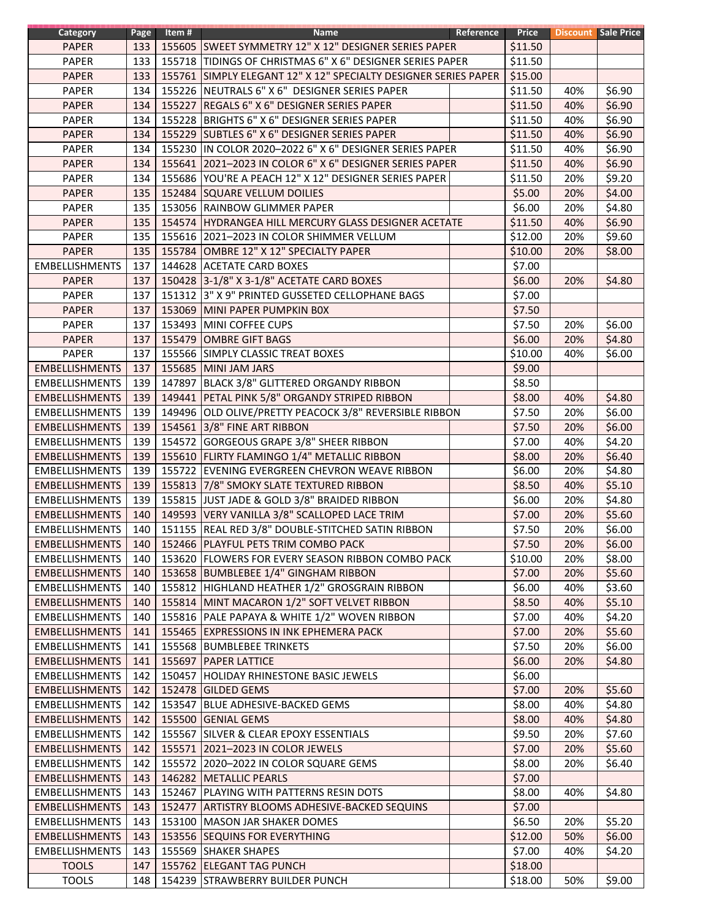| <b>Category</b>       | Page       | Item # | <b>Name</b>                                                     | Reference | Price   |     | <b>Discount</b> Sale Price |
|-----------------------|------------|--------|-----------------------------------------------------------------|-----------|---------|-----|----------------------------|
| <b>PAPER</b>          | 133        |        | 155605 SWEET SYMMETRY 12" X 12" DESIGNER SERIES PAPER           |           | \$11.50 |     |                            |
| PAPER                 | 133        |        | 155718 TIDINGS OF CHRISTMAS 6" X 6" DESIGNER SERIES PAPER       |           | \$11.50 |     |                            |
| <b>PAPER</b>          | 133        |        | 155761 SIMPLY ELEGANT 12" X 12" SPECIALTY DESIGNER SERIES PAPER |           | \$15.00 |     |                            |
| PAPER                 | 134        |        | 155226 NEUTRALS 6" X 6" DESIGNER SERIES PAPER                   |           | \$11.50 | 40% | \$6.90                     |
| <b>PAPER</b>          | 134        |        | 155227 REGALS 6" X 6" DESIGNER SERIES PAPER                     |           | \$11.50 | 40% | \$6.90                     |
| PAPER                 | 134        | 155228 | BRIGHTS 6" X 6" DESIGNER SERIES PAPER                           |           | \$11.50 | 40% | \$6.90                     |
| <b>PAPER</b>          | 134        |        | 155229 SUBTLES 6" X 6" DESIGNER SERIES PAPER                    |           | \$11.50 | 40% | \$6.90                     |
| PAPER                 | 134        |        | 155230 IN COLOR 2020-2022 6" X 6" DESIGNER SERIES PAPER         |           | \$11.50 | 40% | \$6.90                     |
| <b>PAPER</b>          | 134        | 155641 | 2021-2023 IN COLOR 6" X 6" DESIGNER SERIES PAPER                |           | \$11.50 | 40% | \$6.90                     |
| PAPER                 | 134        |        | 155686 YOU'RE A PEACH 12" X 12" DESIGNER SERIES PAPER           |           | \$11.50 | 20% | \$9.20                     |
| <b>PAPER</b>          | 135        |        | 152484 SQUARE VELLUM DOILIES                                    |           | \$5.00  | 20% | \$4.00                     |
| PAPER                 | 135        |        | 153056   RAINBOW GLIMMER PAPER                                  |           | \$6.00  | 20% | \$4.80                     |
| <b>PAPER</b>          | 135        |        | 154574   HYDRANGEA HILL MERCURY GLASS DESIGNER ACETATE          |           | \$11.50 | 40% | \$6.90                     |
| PAPER                 | 135        |        | 155616 2021-2023 IN COLOR SHIMMER VELLUM                        |           | \$12.00 | 20% | \$9.60                     |
|                       |            |        |                                                                 |           |         |     |                            |
| <b>PAPER</b>          | 135        | 155784 | OMBRE 12" X 12" SPECIALTY PAPER                                 |           | \$10.00 | 20% | \$8.00                     |
| <b>EMBELLISHMENTS</b> | 137        |        | 144628 ACETATE CARD BOXES                                       |           | \$7.00  |     |                            |
| <b>PAPER</b>          | 137        |        | 150428 3-1/8" X 3-1/8" ACETATE CARD BOXES                       |           | \$6.00  | 20% | \$4.80                     |
| PAPER                 | 137        |        | 151312 3" X 9" PRINTED GUSSETED CELLOPHANE BAGS                 |           | \$7.00  |     |                            |
| <b>PAPER</b>          | 137        |        | 153069 MINI PAPER PUMPKIN BOX                                   |           | \$7.50  |     |                            |
| PAPER                 | 137        |        | 153493 MINI COFFEE CUPS                                         |           | \$7.50  | 20% | \$6.00                     |
| <b>PAPER</b>          | 137        |        | 155479 OMBRE GIFT BAGS                                          |           | \$6.00  | 20% | \$4.80                     |
| <b>PAPER</b>          | 137        |        | 155566 SIMPLY CLASSIC TREAT BOXES                               |           | \$10.00 | 40% | \$6.00                     |
| <b>EMBELLISHMENTS</b> | 137        |        | 155685 MINI JAM JARS                                            |           | \$9.00  |     |                            |
| <b>EMBELLISHMENTS</b> | 139        |        | 147897 BLACK 3/8" GLITTERED ORGANDY RIBBON                      |           | \$8.50  |     |                            |
| <b>EMBELLISHMENTS</b> | 139        |        | 149441 PETAL PINK 5/8" ORGANDY STRIPED RIBBON                   |           | \$8.00  | 40% | \$4.80                     |
| <b>EMBELLISHMENTS</b> | 139        |        | 149496 OLD OLIVE/PRETTY PEACOCK 3/8" REVERSIBLE RIBBON          |           | \$7.50  | 20% | \$6.00                     |
| <b>EMBELLISHMENTS</b> | 139        |        | 154561 3/8" FINE ART RIBBON                                     |           | \$7.50  | 20% | \$6.00                     |
| <b>EMBELLISHMENTS</b> | 139        |        | 154572 GORGEOUS GRAPE 3/8" SHEER RIBBON                         |           | \$7.00  | 40% | \$4.20                     |
| <b>EMBELLISHMENTS</b> | 139        |        | 155610 FLIRTY FLAMINGO 1/4" METALLIC RIBBON                     |           | \$8.00  | 20% | \$6.40                     |
| <b>EMBELLISHMENTS</b> | 139        |        | 155722 EVENING EVERGREEN CHEVRON WEAVE RIBBON                   |           | \$6.00  | 20% | \$4.80                     |
| <b>EMBELLISHMENTS</b> | 139        |        | 155813 7/8" SMOKY SLATE TEXTURED RIBBON                         |           | \$8.50  | 40% | \$5.10                     |
| <b>EMBELLISHMENTS</b> | 139        |        | 155815 JUST JADE & GOLD 3/8" BRAIDED RIBBON                     |           | \$6.00  | 20% | \$4.80                     |
| <b>EMBELLISHMENTS</b> | 140        |        | 149593 VERY VANILLA 3/8" SCALLOPED LACE TRIM                    |           | \$7.00  | 20% | \$5.60                     |
| <b>EMBELLISHMENTS</b> | 140        |        | 151155 REAL RED 3/8" DOUBLE-STITCHED SATIN RIBBON               |           | \$7.50  | 20% | \$6.00                     |
| <b>EMBELLISHMENTS</b> | $140 \mid$ |        | 152466 PLAYFUL PETS TRIM COMBO PACK                             |           | \$7.50  | 20% | \$6.00                     |
| <b>EMBELLISHMENTS</b> | 140        |        | 153620 FLOWERS FOR EVERY SEASON RIBBON COMBO PACK               |           | \$10.00 | 20% | \$8.00                     |
| <b>EMBELLISHMENTS</b> | 140        |        | 153658 BUMBLEBEE 1/4" GINGHAM RIBBON                            |           | \$7.00  | 20% | \$5.60                     |
| <b>EMBELLISHMENTS</b> | 140        |        | 155812 HIGHLAND HEATHER 1/2" GROSGRAIN RIBBON                   |           | \$6.00  | 40% | \$3.60                     |
| <b>EMBELLISHMENTS</b> | 140        |        | 155814 MINT MACARON 1/2" SOFT VELVET RIBBON                     |           | \$8.50  | 40% | \$5.10                     |
| <b>EMBELLISHMENTS</b> | 140        |        | 155816 PALE PAPAYA & WHITE 1/2" WOVEN RIBBON                    |           | \$7.00  | 40% | \$4.20                     |
| <b>EMBELLISHMENTS</b> | 141        |        | 155465 EXPRESSIONS IN INK EPHEMERA PACK                         |           | \$7.00  | 20% | \$5.60                     |
| <b>EMBELLISHMENTS</b> | 141        |        | 155568 BUMBLEBEE TRINKETS                                       |           | \$7.50  | 20% | \$6.00                     |
| <b>EMBELLISHMENTS</b> | 141        |        | 155697 PAPER LATTICE                                            |           | \$6.00  | 20% | \$4.80                     |
| <b>EMBELLISHMENTS</b> | 142        |        | 150457 HOLIDAY RHINESTONE BASIC JEWELS                          |           | \$6.00  |     |                            |
| <b>EMBELLISHMENTS</b> | 142        |        | 152478 GILDED GEMS                                              |           | \$7.00  | 20% | \$5.60                     |
| <b>EMBELLISHMENTS</b> | 142        |        | 153547 BLUE ADHESIVE-BACKED GEMS                                |           | \$8.00  | 40% | \$4.80                     |
| <b>EMBELLISHMENTS</b> | 142        |        | 155500 GENIAL GEMS                                              |           | \$8.00  | 40% | \$4.80                     |
| <b>EMBELLISHMENTS</b> | 142        |        | 155567 SILVER & CLEAR EPOXY ESSENTIALS                          |           | \$9.50  | 20% | \$7.60                     |
|                       |            |        |                                                                 |           |         |     | \$5.60                     |
| <b>EMBELLISHMENTS</b> | 142        |        | 155571 2021-2023 IN COLOR JEWELS                                |           | \$7.00  | 20% |                            |
| <b>EMBELLISHMENTS</b> | 142        |        | 155572 2020-2022 IN COLOR SQUARE GEMS                           |           | \$8.00  | 20% | \$6.40                     |
| <b>EMBELLISHMENTS</b> | 143        |        | 146282 METALLIC PEARLS                                          |           | \$7.00  |     |                            |
| <b>EMBELLISHMENTS</b> | 143        |        | 152467 PLAYING WITH PATTERNS RESIN DOTS                         |           | \$8.00  | 40% | \$4.80                     |
| <b>EMBELLISHMENTS</b> | 143        |        | 152477 ARTISTRY BLOOMS ADHESIVE-BACKED SEQUINS                  |           | \$7.00  |     |                            |
| <b>EMBELLISHMENTS</b> | 143        |        | 153100   MASON JAR SHAKER DOMES                                 |           | \$6.50  | 20% | \$5.20                     |
| <b>EMBELLISHMENTS</b> | 143        |        | 153556 SEQUINS FOR EVERYTHING                                   |           | \$12.00 | 50% | \$6.00                     |
| <b>EMBELLISHMENTS</b> | 143        |        | 155569 SHAKER SHAPES                                            |           | \$7.00  | 40% | \$4.20                     |
| <b>TOOLS</b>          | 147        |        | 155762 ELEGANT TAG PUNCH                                        |           | \$18.00 |     |                            |
| <b>TOOLS</b>          | 148        |        | 154239 STRAWBERRY BUILDER PUNCH                                 |           | \$18.00 | 50% | \$9.00                     |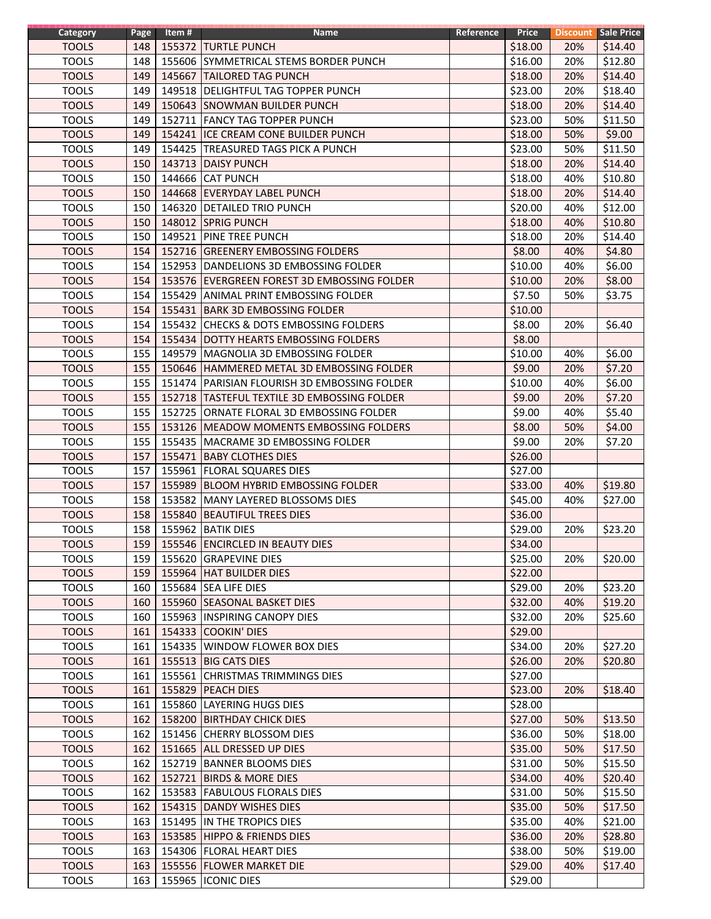| Category     | Page | Item # | Name                                           | Reference | Price   |     | <b>Discount</b> Sale Price |
|--------------|------|--------|------------------------------------------------|-----------|---------|-----|----------------------------|
| <b>TOOLS</b> | 148  |        | 155372 TURTLE PUNCH                            |           | \$18.00 | 20% | \$14.40                    |
| <b>TOOLS</b> | 148  |        | 155606 SYMMETRICAL STEMS BORDER PUNCH          |           | \$16.00 | 20% | \$12.80                    |
| <b>TOOLS</b> | 149  |        | 145667 TAILORED TAG PUNCH                      |           | \$18.00 | 20% | \$14.40                    |
| <b>TOOLS</b> | 149  |        | 149518 DELIGHTFUL TAG TOPPER PUNCH             |           | \$23.00 | 20% | \$18.40                    |
| <b>TOOLS</b> | 149  |        | 150643 SNOWMAN BUILDER PUNCH                   |           | \$18.00 | 20% | \$14.40                    |
| <b>TOOLS</b> | 149  |        | 152711 FANCY TAG TOPPER PUNCH                  |           | \$23.00 | 50% | \$11.50                    |
| <b>TOOLS</b> | 149  | 154241 | ICE CREAM CONE BUILDER PUNCH                   |           | \$18.00 | 50% | \$9.00                     |
| <b>TOOLS</b> | 149  |        | 154425 TREASURED TAGS PICK A PUNCH             |           | \$23.00 | 50% | \$11.50                    |
| <b>TOOLS</b> | 150  |        | 143713 DAISY PUNCH                             |           | \$18.00 | 20% | \$14.40                    |
| <b>TOOLS</b> | 150  |        | 144666 CAT PUNCH                               |           | \$18.00 | 40% | \$10.80                    |
| <b>TOOLS</b> | 150  |        | 144668 EVERYDAY LABEL PUNCH                    |           | \$18.00 | 20% | \$14.40                    |
| <b>TOOLS</b> | 150  |        | 146320 DETAILED TRIO PUNCH                     |           | \$20.00 | 40% | \$12.00                    |
| <b>TOOLS</b> | 150  |        | 148012 SPRIG PUNCH                             |           | \$18.00 | 40% | \$10.80                    |
| <b>TOOLS</b> |      |        |                                                |           | \$18.00 |     |                            |
|              | 150  |        | 149521 PINE TREE PUNCH                         |           |         | 20% | \$14.40                    |
| <b>TOOLS</b> | 154  | 152716 | <b>GREENERY EMBOSSING FOLDERS</b>              |           | \$8.00  | 40% | \$4.80                     |
| <b>TOOLS</b> | 154  |        | 152953 DANDELIONS 3D EMBOSSING FOLDER          |           | \$10.00 | 40% | \$6.00                     |
| <b>TOOLS</b> | 154  |        | 153576 EVERGREEN FOREST 3D EMBOSSING FOLDER    |           | \$10.00 | 20% | \$8.00                     |
| <b>TOOLS</b> | 154  |        | 155429 ANIMAL PRINT EMBOSSING FOLDER           |           | \$7.50  | 50% | \$3.75                     |
| <b>TOOLS</b> | 154  |        | 155431 BARK 3D EMBOSSING FOLDER                |           | \$10.00 |     |                            |
| <b>TOOLS</b> | 154  |        | 155432 CHECKS & DOTS EMBOSSING FOLDERS         |           | \$8.00  | 20% | \$6.40                     |
| <b>TOOLS</b> | 154  |        | 155434 DOTTY HEARTS EMBOSSING FOLDERS          |           | \$8.00  |     |                            |
| <b>TOOLS</b> | 155  |        | 149579 MAGNOLIA 3D EMBOSSING FOLDER            |           | \$10.00 | 40% | \$6.00                     |
| <b>TOOLS</b> | 155  |        | 150646 HAMMERED METAL 3D EMBOSSING FOLDER      |           | \$9.00  | 20% | \$7.20                     |
| <b>TOOLS</b> | 155  |        | 151474   PARISIAN FLOURISH 3D EMBOSSING FOLDER |           | \$10.00 | 40% | \$6.00                     |
| <b>TOOLS</b> | 155  | 152718 | <b>TASTEFUL TEXTILE 3D EMBOSSING FOLDER</b>    |           | \$9.00  | 20% | \$7.20                     |
| <b>TOOLS</b> | 155  | 152725 | ORNATE FLORAL 3D EMBOSSING FOLDER              |           | \$9.00  | 40% | \$5.40                     |
| <b>TOOLS</b> | 155  | 153126 | <b>MEADOW MOMENTS EMBOSSING FOLDERS</b>        |           | \$8.00  | 50% | \$4.00                     |
| <b>TOOLS</b> | 155  |        | 155435 MACRAME 3D EMBOSSING FOLDER             |           | \$9.00  | 20% | \$7.20                     |
| <b>TOOLS</b> | 157  |        | 155471 BABY CLOTHES DIES                       |           | \$26.00 |     |                            |
| <b>TOOLS</b> | 157  |        | 155961 FLORAL SQUARES DIES                     |           | \$27.00 |     |                            |
| <b>TOOLS</b> | 157  |        | 155989 BLOOM HYBRID EMBOSSING FOLDER           |           | \$33.00 | 40% | \$19.80                    |
| <b>TOOLS</b> | 158  |        | 153582 MANY LAYERED BLOSSOMS DIES              |           | \$45.00 | 40% | \$27.00                    |
| <b>TOOLS</b> | 158  |        | 155840 BEAUTIFUL TREES DIES                    |           | \$36.00 |     |                            |
| <b>TOOLS</b> | 158  |        | 155962 BATIK DIES                              |           | \$29.00 | 20% | \$23.20                    |
| <b>TOOLS</b> | 159  |        | 155546 ENCIRCLED IN BEAUTY DIES                |           | \$34.00 |     |                            |
| <b>TOOLS</b> | 159  |        | 155620 GRAPEVINE DIES                          |           | \$25.00 | 20% | \$20.00                    |
| <b>TOOLS</b> | 159  |        | 155964 HAT BUILDER DIES                        |           | \$22.00 |     |                            |
| <b>TOOLS</b> | 160  |        | 155684 SEA LIFE DIES                           |           | \$29.00 | 20% | \$23.20                    |
| <b>TOOLS</b> | 160  |        | 155960 SEASONAL BASKET DIES                    |           | \$32.00 | 40% | \$19.20                    |
| <b>TOOLS</b> | 160  |        | 155963  INSPIRING CANOPY DIES                  |           | \$32.00 | 20% | \$25.60                    |
|              |      |        |                                                |           | \$29.00 |     |                            |
| <b>TOOLS</b> | 161  |        | 154333 COOKIN' DIES                            |           |         |     |                            |
| <b>TOOLS</b> | 161  |        | 154335 WINDOW FLOWER BOX DIES                  |           | \$34.00 | 20% | \$27.20                    |
| <b>TOOLS</b> | 161  |        | 155513 BIG CATS DIES                           |           | \$26.00 | 20% | \$20.80                    |
| <b>TOOLS</b> | 161  |        | 155561 CHRISTMAS TRIMMINGS DIES                |           | \$27.00 |     |                            |
| <b>TOOLS</b> | 161  | 155829 | <b>PEACH DIES</b>                              |           | \$23.00 | 20% | \$18.40                    |
| <b>TOOLS</b> | 161  | 155860 | LAYERING HUGS DIES                             |           | \$28.00 |     |                            |
| <b>TOOLS</b> | 162  | 158200 | <b>BIRTHDAY CHICK DIES</b>                     |           | \$27.00 | 50% | \$13.50                    |
| <b>TOOLS</b> | 162  |        | 151456 CHERRY BLOSSOM DIES                     |           | \$36.00 | 50% | \$18.00                    |
| <b>TOOLS</b> | 162  |        | 151665 ALL DRESSED UP DIES                     |           | \$35.00 | 50% | \$17.50                    |
| <b>TOOLS</b> | 162  |        | 152719 BANNER BLOOMS DIES                      |           | \$31.00 | 50% | \$15.50                    |
| <b>TOOLS</b> | 162  |        | 152721 BIRDS & MORE DIES                       |           | \$34.00 | 40% | \$20.40                    |
| <b>TOOLS</b> | 162  |        | 153583 FABULOUS FLORALS DIES                   |           | \$31.00 | 50% | \$15.50                    |
| <b>TOOLS</b> | 162  |        | 154315 DANDY WISHES DIES                       |           | \$35.00 | 50% | \$17.50                    |
| <b>TOOLS</b> | 163  |        | 151495 IN THE TROPICS DIES                     |           | \$35.00 | 40% | \$21.00                    |
| <b>TOOLS</b> | 163  |        | 153585 HIPPO & FRIENDS DIES                    |           | \$36.00 | 20% | \$28.80                    |
| <b>TOOLS</b> | 163  |        | 154306   FLORAL HEART DIES                     |           | \$38.00 | 50% | \$19.00                    |
| <b>TOOLS</b> | 163  |        | 155556 FLOWER MARKET DIE                       |           | \$29.00 | 40% | \$17.40                    |
| <b>TOOLS</b> | 163  |        | 155965 CONIC DIES                              |           | \$29.00 |     |                            |